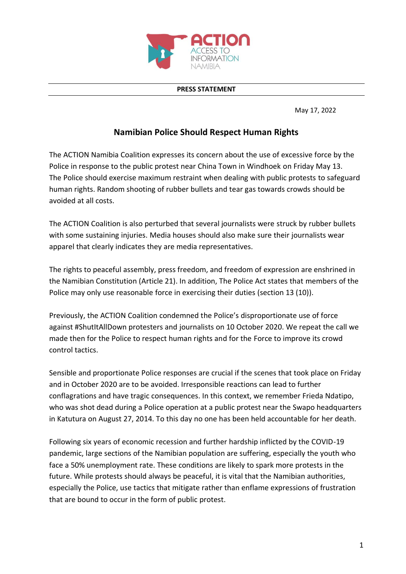

## **PRESS STATEMENT**

May 17, 2022

## **Namibian Police Should Respect Human Rights**

The ACTION Namibia Coalition expresses its concern about the use of excessive force by the Police in response to the public protest near China Town in Windhoek on Friday May 13. The Police should exercise maximum restraint when dealing with public protests to safeguard human rights. Random shooting of rubber bullets and tear gas towards crowds should be avoided at all costs.

The ACTION Coalition is also perturbed that several journalists were struck by rubber bullets with some sustaining injuries. Media houses should also make sure their journalists wear apparel that clearly indicates they are media representatives.

The rights to peaceful assembly, press freedom, and freedom of expression are enshrined in the Namibian Constitution (Article 21). In addition, The Police Act states that members of the Police may only use reasonable force in exercising their duties (section 13 (10)).

Previously, the ACTION Coalition condemned the Police's disproportionate use of force against #ShutItAllDown protesters and journalists on 10 October 2020. We repeat the call we made then for the Police to respect human rights and for the Force to improve its crowd control tactics.

Sensible and proportionate Police responses are crucial if the scenes that took place on Friday and in October 2020 are to be avoided. Irresponsible reactions can lead to further conflagrations and have tragic consequences. In this context, we remember Frieda Ndatipo, who was shot dead during a Police operation at a public protest near the Swapo headquarters in Katutura on August 27, 2014. To this day no one has been held accountable for her death.

Following six years of economic recession and further hardship inflicted by the COVID-19 pandemic, large sections of the Namibian population are suffering, especially the youth who face a 50% unemployment rate. These conditions are likely to spark more protests in the future. While protests should always be peaceful, it is vital that the Namibian authorities, especially the Police, use tactics that mitigate rather than enflame expressions of frustration that are bound to occur in the form of public protest.